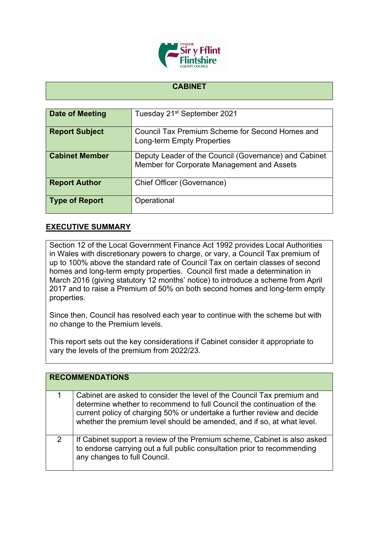

## **CABINET**

| Date of Meeting       | Tuesday 21 <sup>st</sup> September 2021               |
|-----------------------|-------------------------------------------------------|
|                       |                                                       |
| <b>Report Subject</b> | Council Tax Premium Scheme for Second Homes and       |
|                       | Long-term Empty Properties                            |
| <b>Cabinet Member</b> | Deputy Leader of the Council (Governance) and Cabinet |
|                       | Member for Corporate Management and Assets            |
|                       |                                                       |
| <b>Report Author</b>  | <b>Chief Officer (Governance)</b>                     |
|                       |                                                       |
| <b>Type of Report</b> | Operational                                           |
|                       |                                                       |

## **EXECUTIVE SUMMARY**

Section 12 of the Local Government Finance Act 1992 provides Local Authorities in Wales with discretionary powers to charge, or vary, a Council Tax premium of up to 100% above the standard rate of Council Tax on certain classes of second homes and long-term empty properties. Council first made a determination in March 2016 (giving statutory 12 months' notice) to introduce a scheme from April 2017 and to raise a Premium of 50% on both second homes and long-term empty properties.

Since then, Council has resolved each year to continue with the scheme but with no change to the Premium levels.

This report sets out the key considerations if Cabinet consider it appropriate to vary the levels of the premium from 2022/23.

|   | <b>RECOMMENDATIONS</b>                                                                                                                                                                                                                                                                                |
|---|-------------------------------------------------------------------------------------------------------------------------------------------------------------------------------------------------------------------------------------------------------------------------------------------------------|
|   | Cabinet are asked to consider the level of the Council Tax premium and<br>determine whether to recommend to full Council the continuation of the<br>current policy of charging 50% or undertake a further review and decide<br>whether the premium level should be amended, and if so, at what level. |
| 2 | If Cabinet support a review of the Premium scheme, Cabinet is also asked<br>to endorse carrying out a full public consultation prior to recommending<br>any changes to full Council.                                                                                                                  |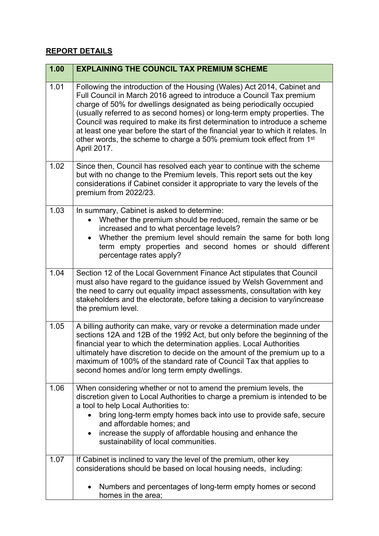## **REPORT DETAILS**

| 1.00 | <b>EXPLAINING THE COUNCIL TAX PREMIUM SCHEME</b>                                                                                                                                                                                                                                                                                                                                                                                                                                                                                                                          |
|------|---------------------------------------------------------------------------------------------------------------------------------------------------------------------------------------------------------------------------------------------------------------------------------------------------------------------------------------------------------------------------------------------------------------------------------------------------------------------------------------------------------------------------------------------------------------------------|
| 1.01 | Following the introduction of the Housing (Wales) Act 2014, Cabinet and<br>Full Council in March 2016 agreed to introduce a Council Tax premium<br>charge of 50% for dwellings designated as being periodically occupied<br>(usually referred to as second homes) or long-term empty properties. The<br>Council was required to make its first determination to introduce a scheme<br>at least one year before the start of the financial year to which it relates. In<br>other words, the scheme to charge a 50% premium took effect from 1 <sup>st</sup><br>April 2017. |
| 1.02 | Since then, Council has resolved each year to continue with the scheme<br>but with no change to the Premium levels. This report sets out the key<br>considerations if Cabinet consider it appropriate to vary the levels of the<br>premium from 2022/23.                                                                                                                                                                                                                                                                                                                  |
| 1.03 | In summary, Cabinet is asked to determine:<br>Whether the premium should be reduced, remain the same or be<br>increased and to what percentage levels?<br>Whether the premium level should remain the same for both long<br>term empty properties and second homes or should different<br>percentage rates apply?                                                                                                                                                                                                                                                         |
| 1.04 | Section 12 of the Local Government Finance Act stipulates that Council<br>must also have regard to the guidance issued by Welsh Government and<br>the need to carry out equality impact assessments, consultation with key<br>stakeholders and the electorate, before taking a decision to vary/increase<br>the premium level.                                                                                                                                                                                                                                            |
| 1.05 | A billing authority can make, vary or revoke a determination made under<br>sections 12A and 12B of the 1992 Act, but only before the beginning of the<br>financial year to which the determination applies. Local Authorities<br>ultimately have discretion to decide on the amount of the premium up to a<br>maximum of 100% of the standard rate of Council Tax that applies to<br>second homes and/or long term empty dwellings.                                                                                                                                       |
| 1.06 | When considering whether or not to amend the premium levels, the<br>discretion given to Local Authorities to charge a premium is intended to be<br>a tool to help Local Authorities to:<br>bring long-term empty homes back into use to provide safe, secure                                                                                                                                                                                                                                                                                                              |
|      | and affordable homes; and<br>increase the supply of affordable housing and enhance the<br>sustainability of local communities.                                                                                                                                                                                                                                                                                                                                                                                                                                            |
| 1.07 | If Cabinet is inclined to vary the level of the premium, other key<br>considerations should be based on local housing needs, including:                                                                                                                                                                                                                                                                                                                                                                                                                                   |
|      | Numbers and percentages of long-term empty homes or second<br>homes in the area;                                                                                                                                                                                                                                                                                                                                                                                                                                                                                          |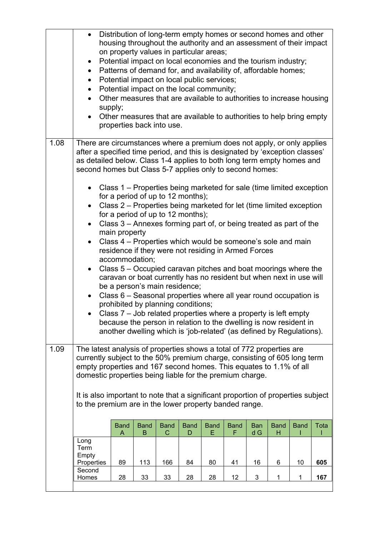|      | $\bullet$<br>$\bullet$<br>$\bullet$<br>$\bullet$<br>$\bullet$                                                                                          | Distribution of long-term empty homes or second homes and other<br>housing throughout the authority and an assessment of their impact<br>on property values in particular areas;<br>Potential impact on local economies and the tourism industry;<br>Patterns of demand for, and availability of, affordable homes;<br>Potential impact on local public services;<br>Potential impact on the local community;<br>Other measures that are available to authorities to increase housing<br>supply;<br>Other measures that are available to authorities to help bring empty<br>properties back into use. |             |             |             |             |             |            |             |             |      |
|------|--------------------------------------------------------------------------------------------------------------------------------------------------------|-------------------------------------------------------------------------------------------------------------------------------------------------------------------------------------------------------------------------------------------------------------------------------------------------------------------------------------------------------------------------------------------------------------------------------------------------------------------------------------------------------------------------------------------------------------------------------------------------------|-------------|-------------|-------------|-------------|-------------|------------|-------------|-------------|------|
| 1.08 | There are circumstances where a premium does not apply, or only applies                                                                                |                                                                                                                                                                                                                                                                                                                                                                                                                                                                                                                                                                                                       |             |             |             |             |             |            |             |             |      |
|      | after a specified time period, and this is designated by 'exception classes'<br>as detailed below. Class 1-4 applies to both long term empty homes and |                                                                                                                                                                                                                                                                                                                                                                                                                                                                                                                                                                                                       |             |             |             |             |             |            |             |             |      |
|      | second homes but Class 5-7 applies only to second homes:                                                                                               |                                                                                                                                                                                                                                                                                                                                                                                                                                                                                                                                                                                                       |             |             |             |             |             |            |             |             |      |
|      | $\bullet$                                                                                                                                              | Class 1 – Properties being marketed for sale (time limited exception<br>for a period of up to 12 months);                                                                                                                                                                                                                                                                                                                                                                                                                                                                                             |             |             |             |             |             |            |             |             |      |
|      |                                                                                                                                                        | Class 2 - Properties being marketed for let (time limited exception<br>for a period of up to 12 months);                                                                                                                                                                                                                                                                                                                                                                                                                                                                                              |             |             |             |             |             |            |             |             |      |
|      | $\bullet$                                                                                                                                              | Class 3 - Annexes forming part of, or being treated as part of the                                                                                                                                                                                                                                                                                                                                                                                                                                                                                                                                    |             |             |             |             |             |            |             |             |      |
|      | $\bullet$                                                                                                                                              | main property<br>Class 4 – Properties which would be someone's sole and main                                                                                                                                                                                                                                                                                                                                                                                                                                                                                                                          |             |             |             |             |             |            |             |             |      |
|      |                                                                                                                                                        | residence if they were not residing in Armed Forces                                                                                                                                                                                                                                                                                                                                                                                                                                                                                                                                                   |             |             |             |             |             |            |             |             |      |
|      |                                                                                                                                                        | accommodation;<br>Class 5 – Occupied caravan pitches and boat moorings where the                                                                                                                                                                                                                                                                                                                                                                                                                                                                                                                      |             |             |             |             |             |            |             |             |      |
|      |                                                                                                                                                        | caravan or boat currently has no resident but when next in use will                                                                                                                                                                                                                                                                                                                                                                                                                                                                                                                                   |             |             |             |             |             |            |             |             |      |
|      | $\bullet$                                                                                                                                              | be a person's main residence;<br>Class 6 - Seasonal properties where all year round occupation is                                                                                                                                                                                                                                                                                                                                                                                                                                                                                                     |             |             |             |             |             |            |             |             |      |
|      |                                                                                                                                                        | prohibited by planning conditions;                                                                                                                                                                                                                                                                                                                                                                                                                                                                                                                                                                    |             |             |             |             |             |            |             |             |      |
|      | • Class $7 -$ Job related properties where a property is left empty                                                                                    | because the person in relation to the dwelling is now resident in                                                                                                                                                                                                                                                                                                                                                                                                                                                                                                                                     |             |             |             |             |             |            |             |             |      |
|      |                                                                                                                                                        | another dwelling which is 'job-related' (as defined by Regulations).                                                                                                                                                                                                                                                                                                                                                                                                                                                                                                                                  |             |             |             |             |             |            |             |             |      |
| 1.09 | The latest analysis of properties shows a total of 772 properties are                                                                                  |                                                                                                                                                                                                                                                                                                                                                                                                                                                                                                                                                                                                       |             |             |             |             |             |            |             |             |      |
|      | currently subject to the 50% premium charge, consisting of 605 long term<br>empty properties and 167 second homes. This equates to 1.1% of all         |                                                                                                                                                                                                                                                                                                                                                                                                                                                                                                                                                                                                       |             |             |             |             |             |            |             |             |      |
|      | domestic properties being liable for the premium charge.                                                                                               |                                                                                                                                                                                                                                                                                                                                                                                                                                                                                                                                                                                                       |             |             |             |             |             |            |             |             |      |
|      |                                                                                                                                                        |                                                                                                                                                                                                                                                                                                                                                                                                                                                                                                                                                                                                       |             |             |             |             |             |            |             |             |      |
|      | It is also important to note that a significant proportion of properties subject<br>to the premium are in the lower property banded range.             |                                                                                                                                                                                                                                                                                                                                                                                                                                                                                                                                                                                                       |             |             |             |             |             |            |             |             |      |
|      |                                                                                                                                                        | <b>Band</b>                                                                                                                                                                                                                                                                                                                                                                                                                                                                                                                                                                                           | <b>Band</b> | <b>Band</b> | <b>Band</b> | <b>Band</b> | <b>Band</b> | <b>Ban</b> | <b>Band</b> | <b>Band</b> | Tota |
|      |                                                                                                                                                        | A                                                                                                                                                                                                                                                                                                                                                                                                                                                                                                                                                                                                     | в           | С           | D           | Е           | F           | dG         | н           |             |      |
|      | Long<br>Term                                                                                                                                           |                                                                                                                                                                                                                                                                                                                                                                                                                                                                                                                                                                                                       |             |             |             |             |             |            |             |             |      |
|      | Empty<br>Properties                                                                                                                                    | 89                                                                                                                                                                                                                                                                                                                                                                                                                                                                                                                                                                                                    | 113         | 166         | 84          | 80          | 41          | 16         | 6           | 10          | 605  |
|      | Second<br>Homes                                                                                                                                        | 28                                                                                                                                                                                                                                                                                                                                                                                                                                                                                                                                                                                                    | 33          | 33          | 28          | 28          | 12          | 3          | 1           | 1           | 167  |
|      |                                                                                                                                                        |                                                                                                                                                                                                                                                                                                                                                                                                                                                                                                                                                                                                       |             |             |             |             |             |            |             |             |      |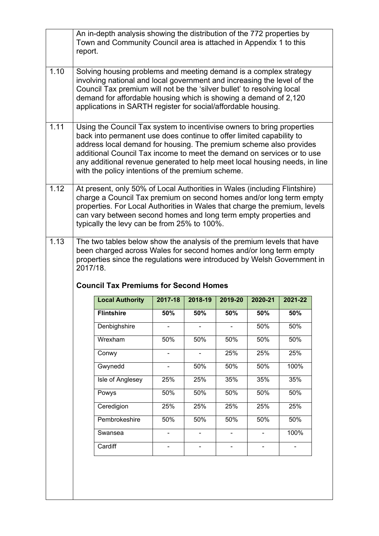|      | An in-depth analysis showing the distribution of the 772 properties by<br>Town and Community Council area is attached in Appendix 1 to this<br>report.                                                                                                                                                                                                      |                                                                                                                                                                                                                                                                                                                                                                                                                                   |                          |                              |               |                |                |  |
|------|-------------------------------------------------------------------------------------------------------------------------------------------------------------------------------------------------------------------------------------------------------------------------------------------------------------------------------------------------------------|-----------------------------------------------------------------------------------------------------------------------------------------------------------------------------------------------------------------------------------------------------------------------------------------------------------------------------------------------------------------------------------------------------------------------------------|--------------------------|------------------------------|---------------|----------------|----------------|--|
| 1.10 | Solving housing problems and meeting demand is a complex strategy<br>involving national and local government and increasing the level of the<br>Council Tax premium will not be the 'silver bullet' to resolving local<br>demand for affordable housing which is showing a demand of 2,120<br>applications in SARTH register for social/affordable housing. |                                                                                                                                                                                                                                                                                                                                                                                                                                   |                          |                              |               |                |                |  |
| 1.11 |                                                                                                                                                                                                                                                                                                                                                             | Using the Council Tax system to incentivise owners to bring properties<br>back into permanent use does continue to offer limited capability to<br>address local demand for housing. The premium scheme also provides<br>additional Council Tax income to meet the demand on services or to use<br>any additional revenue generated to help meet local housing needs, in line<br>with the policy intentions of the premium scheme. |                          |                              |               |                |                |  |
| 1.12 |                                                                                                                                                                                                                                                                                                                                                             | At present, only 50% of Local Authorities in Wales (including Flintshire)<br>charge a Council Tax premium on second homes and/or long term empty<br>properties. For Local Authorities in Wales that charge the premium, levels<br>can vary between second homes and long term empty properties and<br>typically the levy can be from 25% to 100%.                                                                                 |                          |                              |               |                |                |  |
| 1.13 | 2017/18.                                                                                                                                                                                                                                                                                                                                                    | The two tables below show the analysis of the premium levels that have<br>been charged across Wales for second homes and/or long term empty<br>properties since the regulations were introduced by Welsh Government in<br><b>Council Tax Premiums for Second Homes</b>                                                                                                                                                            |                          |                              |               |                |                |  |
|      |                                                                                                                                                                                                                                                                                                                                                             | <b>Local Authority</b>                                                                                                                                                                                                                                                                                                                                                                                                            | 2017-18                  | 2018-19                      | 2019-20       | 2020-21        | 2021-22        |  |
|      |                                                                                                                                                                                                                                                                                                                                                             | <b>Flintshire</b>                                                                                                                                                                                                                                                                                                                                                                                                                 | 50%                      | 50%                          | 50%           | 50%            | 50%            |  |
|      |                                                                                                                                                                                                                                                                                                                                                             | Denbighshire                                                                                                                                                                                                                                                                                                                                                                                                                      |                          |                              |               | 50%            | 50%            |  |
|      |                                                                                                                                                                                                                                                                                                                                                             | Wrexham                                                                                                                                                                                                                                                                                                                                                                                                                           | 50%                      | 50%                          | 50%           | 50%            | 50%            |  |
|      |                                                                                                                                                                                                                                                                                                                                                             | Conwy                                                                                                                                                                                                                                                                                                                                                                                                                             | $\overline{\phantom{0}}$ | $\qquad \qquad \blacksquare$ | 25%           | 25%            | 25%            |  |
|      |                                                                                                                                                                                                                                                                                                                                                             | Gwynedd                                                                                                                                                                                                                                                                                                                                                                                                                           |                          | 50%                          | 50%           | 50%            | 100%           |  |
|      |                                                                                                                                                                                                                                                                                                                                                             | Isle of Anglesey                                                                                                                                                                                                                                                                                                                                                                                                                  | 25%                      | 25%                          | 35%           | 35%            | 35%            |  |
|      |                                                                                                                                                                                                                                                                                                                                                             | Powys                                                                                                                                                                                                                                                                                                                                                                                                                             | 50%                      | 50%                          | 50%           | 50%            | 50%            |  |
|      |                                                                                                                                                                                                                                                                                                                                                             | Ceredigion                                                                                                                                                                                                                                                                                                                                                                                                                        | 25%                      | 25%                          | 25%           | 25%            | 25%            |  |
|      |                                                                                                                                                                                                                                                                                                                                                             | Pembrokeshire                                                                                                                                                                                                                                                                                                                                                                                                                     | 50%                      | 50%                          | 50%           | 50%            | 50%            |  |
|      |                                                                                                                                                                                                                                                                                                                                                             | Swansea                                                                                                                                                                                                                                                                                                                                                                                                                           |                          |                              |               |                | 100%           |  |
|      |                                                                                                                                                                                                                                                                                                                                                             | Cardiff                                                                                                                                                                                                                                                                                                                                                                                                                           | $\blacksquare$           | $\blacksquare$               | $\frac{1}{2}$ | $\blacksquare$ | $\blacksquare$ |  |
|      |                                                                                                                                                                                                                                                                                                                                                             |                                                                                                                                                                                                                                                                                                                                                                                                                                   |                          |                              |               |                |                |  |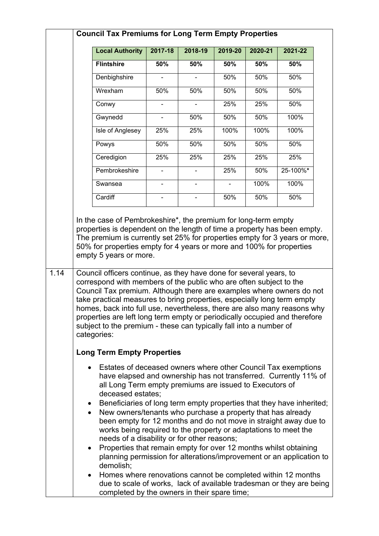| <b>Local Authority</b><br><b>Flintshire</b>                                                                                                                                                                                                                                                                                                                                                    |         |         |         | <b>Council Tax Premiums for Long Term Empty Properties</b>                                                     |                                                                                                                                                                                                          |
|------------------------------------------------------------------------------------------------------------------------------------------------------------------------------------------------------------------------------------------------------------------------------------------------------------------------------------------------------------------------------------------------|---------|---------|---------|----------------------------------------------------------------------------------------------------------------|----------------------------------------------------------------------------------------------------------------------------------------------------------------------------------------------------------|
|                                                                                                                                                                                                                                                                                                                                                                                                | 2017-18 | 2018-19 | 2019-20 | 2020-21                                                                                                        | 2021-22                                                                                                                                                                                                  |
|                                                                                                                                                                                                                                                                                                                                                                                                | 50%     | 50%     | 50%     | 50%                                                                                                            | 50%                                                                                                                                                                                                      |
| Denbighshire                                                                                                                                                                                                                                                                                                                                                                                   |         |         | 50%     | 50%                                                                                                            | 50%                                                                                                                                                                                                      |
| Wrexham                                                                                                                                                                                                                                                                                                                                                                                        | 50%     | 50%     | 50%     | 50%                                                                                                            | 50%                                                                                                                                                                                                      |
| Conwy                                                                                                                                                                                                                                                                                                                                                                                          |         |         | 25%     | 25%                                                                                                            | 50%                                                                                                                                                                                                      |
| Gwynedd                                                                                                                                                                                                                                                                                                                                                                                        |         | 50%     | 50%     | 50%                                                                                                            | 100%                                                                                                                                                                                                     |
| Isle of Anglesey                                                                                                                                                                                                                                                                                                                                                                               | 25%     | 25%     | 100%    | 100%                                                                                                           | 100%                                                                                                                                                                                                     |
| Powys                                                                                                                                                                                                                                                                                                                                                                                          | 50%     | 50%     | 50%     | 50%                                                                                                            | 50%                                                                                                                                                                                                      |
| Ceredigion                                                                                                                                                                                                                                                                                                                                                                                     | 25%     | 25%     | 25%     | 25%                                                                                                            | 25%                                                                                                                                                                                                      |
| Pembrokeshire                                                                                                                                                                                                                                                                                                                                                                                  |         |         | 25%     | 50%                                                                                                            | 25-100%*                                                                                                                                                                                                 |
| Swansea                                                                                                                                                                                                                                                                                                                                                                                        |         |         |         | 100%                                                                                                           | 100%                                                                                                                                                                                                     |
| Cardiff                                                                                                                                                                                                                                                                                                                                                                                        |         |         | 50%     | 50%                                                                                                            | 50%                                                                                                                                                                                                      |
|                                                                                                                                                                                                                                                                                                                                                                                                |         |         |         |                                                                                                                |                                                                                                                                                                                                          |
| Council Tax premium. Although there are examples where owners do not<br>take practical measures to bring properties, especially long term empty<br>homes, back into full use, nevertheless, there are also many reasons why<br>properties are left long term empty or periodically occupied and therefore<br>subject to the premium - these can typically fall into a number of<br>categories: |         |         |         |                                                                                                                |                                                                                                                                                                                                          |
| <b>Long Term Empty Properties</b>                                                                                                                                                                                                                                                                                                                                                              |         |         |         |                                                                                                                |                                                                                                                                                                                                          |
| Estates of deceased owners where other Council Tax exemptions<br>have elapsed and ownership has not transferred. Currently 11% of<br>all Long Term empty premiums are issued to Executors of<br>deceased estates:<br>$\bullet$                                                                                                                                                                 |         |         |         |                                                                                                                |                                                                                                                                                                                                          |
|                                                                                                                                                                                                                                                                                                                                                                                                |         |         |         | works being required to the property or adaptations to meet the<br>needs of a disability or for other reasons; | Beneficiaries of long term empty properties that they have inherited;<br>New owners/tenants who purchase a property that has already<br>been empty for 12 months and do not move in straight away due to |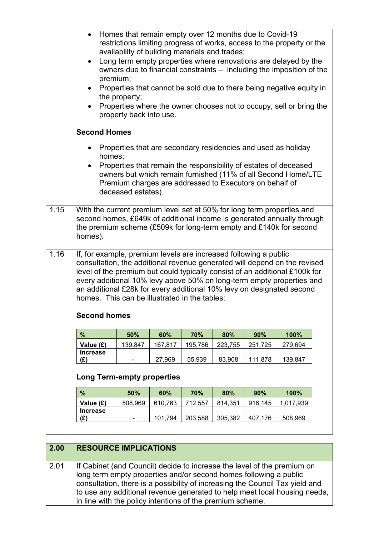|      | $\bullet$<br>premium;<br><b>Second Homes</b>                                                                                                                                                                                                                                                                                                                                                                                                           | Homes that remain empty over 12 months due to Covid-19<br>availability of building materials and trades;<br>the property;<br>property back into use. |         |         |         |         | restrictions limiting progress of works, access to the property or the<br>Long term empty properties where renovations are delayed by the<br>owners due to financial constraints - including the imposition of the<br>Properties that cannot be sold due to there being negative equity in<br>Properties where the owner chooses not to occupy, sell or bring the |  |
|------|--------------------------------------------------------------------------------------------------------------------------------------------------------------------------------------------------------------------------------------------------------------------------------------------------------------------------------------------------------------------------------------------------------------------------------------------------------|------------------------------------------------------------------------------------------------------------------------------------------------------|---------|---------|---------|---------|-------------------------------------------------------------------------------------------------------------------------------------------------------------------------------------------------------------------------------------------------------------------------------------------------------------------------------------------------------------------|--|
|      | homes;                                                                                                                                                                                                                                                                                                                                                                                                                                                 | Premium charges are addressed to Executors on behalf of<br>deceased estates).                                                                        |         |         |         |         | Properties that are secondary residencies and used as holiday<br>Properties that remain the responsibility of estates of deceased<br>owners but which remain furnished (11% of all Second Home/LTE                                                                                                                                                                |  |
| 1.15 | With the current premium level set at 50% for long term properties and<br>second homes, £649k of additional income is generated annually through<br>the premium scheme (£509k for long-term empty and £140k for second<br>homes).                                                                                                                                                                                                                      |                                                                                                                                                      |         |         |         |         |                                                                                                                                                                                                                                                                                                                                                                   |  |
| 1.16 | If, for example, premium levels are increased following a public<br>consultation, the additional revenue generated will depend on the revised<br>level of the premium but could typically consist of an additional £100k for<br>every additional 10% levy above 50% on long-term empty properties and<br>an additional £28k for every additional 10% levy on designated second<br>homes. This can be illustrated in the tables:<br><b>Second homes</b> |                                                                                                                                                      |         |         |         |         |                                                                                                                                                                                                                                                                                                                                                                   |  |
|      | %                                                                                                                                                                                                                                                                                                                                                                                                                                                      | 50%                                                                                                                                                  | 60%     | 70%     | 80%     | 90%     | 100%                                                                                                                                                                                                                                                                                                                                                              |  |
|      | Value (£)                                                                                                                                                                                                                                                                                                                                                                                                                                              | 139,847                                                                                                                                              | 167,817 | 195,786 | 223,755 | 251,725 | 279,694                                                                                                                                                                                                                                                                                                                                                           |  |
|      | <b>Increase</b><br>(E)                                                                                                                                                                                                                                                                                                                                                                                                                                 |                                                                                                                                                      | 27,969  | 55,939  | 83,908  | 111,878 | 139,847                                                                                                                                                                                                                                                                                                                                                           |  |
|      | <b>Long Term-empty properties</b>                                                                                                                                                                                                                                                                                                                                                                                                                      |                                                                                                                                                      |         |         |         |         |                                                                                                                                                                                                                                                                                                                                                                   |  |
|      | $\%$                                                                                                                                                                                                                                                                                                                                                                                                                                                   | 50%                                                                                                                                                  | 60%     | 70%     | 80%     | 90%     | 100%                                                                                                                                                                                                                                                                                                                                                              |  |
|      | Value (£)<br><b>Increase</b>                                                                                                                                                                                                                                                                                                                                                                                                                           | 508,969                                                                                                                                              | 610,763 | 712,557 | 814,351 | 916,145 | 1,017,939                                                                                                                                                                                                                                                                                                                                                         |  |
|      | (E)                                                                                                                                                                                                                                                                                                                                                                                                                                                    |                                                                                                                                                      | 101,794 | 203,588 | 305,382 | 407,176 | 508,969                                                                                                                                                                                                                                                                                                                                                           |  |

| 2.00 | <b>RESOURCE IMPLICATIONS</b>                                                                                                                                                                                                                                                                                                                                           |
|------|------------------------------------------------------------------------------------------------------------------------------------------------------------------------------------------------------------------------------------------------------------------------------------------------------------------------------------------------------------------------|
| 2.01 | If Cabinet (and Council) decide to increase the level of the premium on<br>long term empty properties and/or second homes following a public<br>consultation, there is a possibility of increasing the Council Tax yield and<br>to use any additional revenue generated to help meet local housing needs,<br>in line with the policy intentions of the premium scheme. |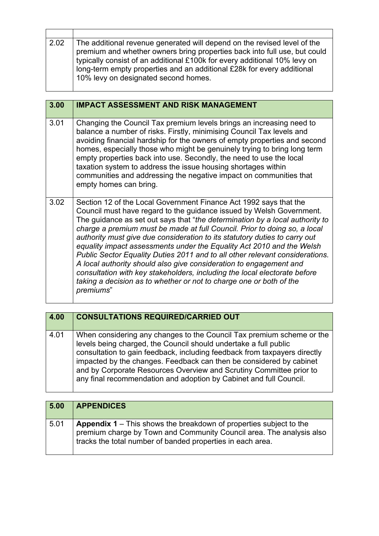| 2.02 | The additional revenue generated will depend on the revised level of the<br>premium and whether owners bring properties back into full use, but could<br>typically consist of an additional £100k for every additional 10% levy on |
|------|------------------------------------------------------------------------------------------------------------------------------------------------------------------------------------------------------------------------------------|
|      | long-term empty properties and an additional £28k for every additional<br>10% levy on designated second homes.                                                                                                                     |

| 3.00 | <b>IMPACT ASSESSMENT AND RISK MANAGEMENT</b>                                                                                                                                                                                                                                                                                                                                                                                                                                                                                                                                                                                                                                                                                                                                         |
|------|--------------------------------------------------------------------------------------------------------------------------------------------------------------------------------------------------------------------------------------------------------------------------------------------------------------------------------------------------------------------------------------------------------------------------------------------------------------------------------------------------------------------------------------------------------------------------------------------------------------------------------------------------------------------------------------------------------------------------------------------------------------------------------------|
| 3.01 | Changing the Council Tax premium levels brings an increasing need to<br>balance a number of risks. Firstly, minimising Council Tax levels and<br>avoiding financial hardship for the owners of empty properties and second<br>homes, especially those who might be genuinely trying to bring long term<br>empty properties back into use. Secondly, the need to use the local<br>taxation system to address the issue housing shortages within<br>communities and addressing the negative impact on communities that<br>empty homes can bring.                                                                                                                                                                                                                                       |
| 3.02 | Section 12 of the Local Government Finance Act 1992 says that the<br>Council must have regard to the guidance issued by Welsh Government.<br>The guidance as set out says that "the determination by a local authority to<br>charge a premium must be made at full Council. Prior to doing so, a local<br>authority must give due consideration to its statutory duties to carry out<br>equality impact assessments under the Equality Act 2010 and the Welsh<br>Public Sector Equality Duties 2011 and to all other relevant considerations.<br>A local authority should also give consideration to engagement and<br>consultation with key stakeholders, including the local electorate before<br>taking a decision as to whether or not to charge one or both of the<br>premiums" |

| 4.00 | <b>CONSULTATIONS REQUIRED/CARRIED OUT</b>                                                                                                                                                                                                                                                                                                                                                                                                  |
|------|--------------------------------------------------------------------------------------------------------------------------------------------------------------------------------------------------------------------------------------------------------------------------------------------------------------------------------------------------------------------------------------------------------------------------------------------|
| 4.01 | When considering any changes to the Council Tax premium scheme or the<br>levels being charged, the Council should undertake a full public<br>consultation to gain feedback, including feedback from taxpayers directly<br>impacted by the changes. Feedback can then be considered by cabinet<br>and by Corporate Resources Overview and Scrutiny Committee prior to<br>any final recommendation and adoption by Cabinet and full Council. |

| 5.00 | <b>APPENDICES</b>                                                                                                                                                                                               |
|------|-----------------------------------------------------------------------------------------------------------------------------------------------------------------------------------------------------------------|
| 5.01 | <b>Appendix 1</b> – This shows the breakdown of properties subject to the<br>premium charge by Town and Community Council area. The analysis also<br>tracks the total number of banded properties in each area. |